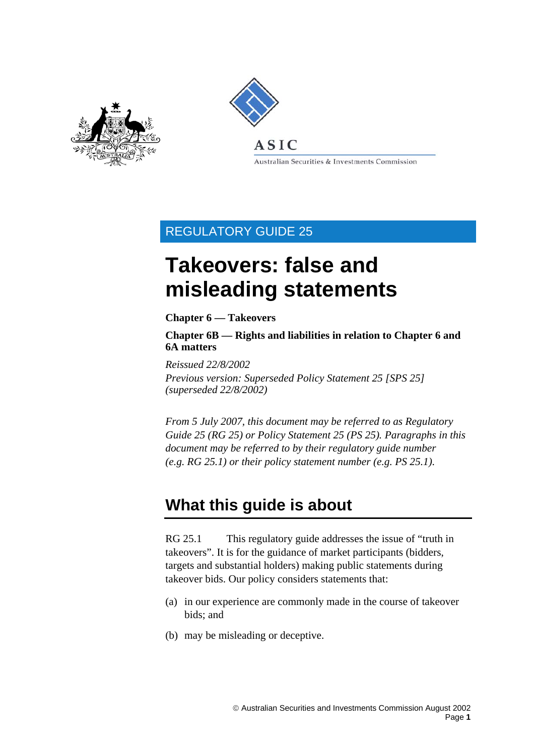<span id="page-0-0"></span>



Australian Securities & Investments Commission

## REGULATORY GUIDE 25

# **Takeovers: false and misleading statements**

### **Chapter 6 — Takeovers**

**Chapter 6B — Rights and liabilities in relation to Chapter 6 and 6A matters** 

*Reissued 22/8/2002* 

*Previous version: Superseded Policy Statement 25 [SPS 25] (superseded 22/8/2002)* 

*From 5 July 2007, this document may be referred to as Regulatory Guide 25 (RG 25) or Policy Statement 25 (PS 25). Paragraphs in this document may be referred to by their regulatory guide number (e.g. RG 25.1) or their policy statement number (e.g. PS 25.1).* 

## **What this guide is about**

RG 25.1 This regulatory guide addresses the issue of "truth in takeovers". It is for the guidance of market participants (bidders, targets and substantial holders) making public statements during takeover bids. Our policy considers statements that:

- (a) in our experience are commonly made in the course of takeover bids; and
- (b) may be misleading or deceptive.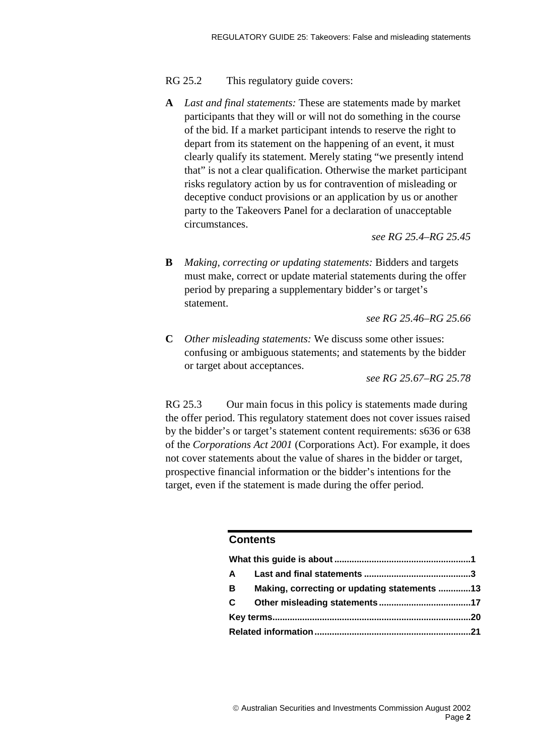### RG 25.2 This regulatory guide covers:

**A** *Last and final statements:* These are statements made by market participants that they will or will not do something in the course of the bid. If a market participant intends to reserve the right to depart from its statement on the happening of an event, it must clearly qualify its statement. Merely stating "we presently intend that" is not a clear qualification. Otherwise the market participant risks regulatory action by us for contravention of misleading or deceptive conduct provisions or an application by us or another party to the Takeovers Panel for a declaration of unacceptable circumstances.

*see RG 25.4–RG 25.45* 

**B** *Making, correcting or updating statements:* Bidders and targets must make, correct or update material statements during the offer period by preparing a supplementary bidder's or target's statement.

*see RG 25.46–RG 25.66* 

**C** *Other misleading statements:* We discuss some other issues: confusing or ambiguous statements; and statements by the bidder or target about acceptances.

*see RG 25.67–RG 25.78* 

RG 25.3 Our main focus in this policy is statements made during the offer period. This regulatory statement does not cover issues raised by the bidder's or target's statement content requirements: s636 or 638 of the *Corporations Act 2001* (Corporations Act). For example, it does not cover statements about the value of shares in the bidder or target, prospective financial information or the bidder's intentions for the target, even if the statement is made during the offer period.

### **Contents**

| A            |                                              |  |
|--------------|----------------------------------------------|--|
| B            | Making, correcting or updating statements 13 |  |
| $\mathbf{C}$ |                                              |  |
|              |                                              |  |
|              |                                              |  |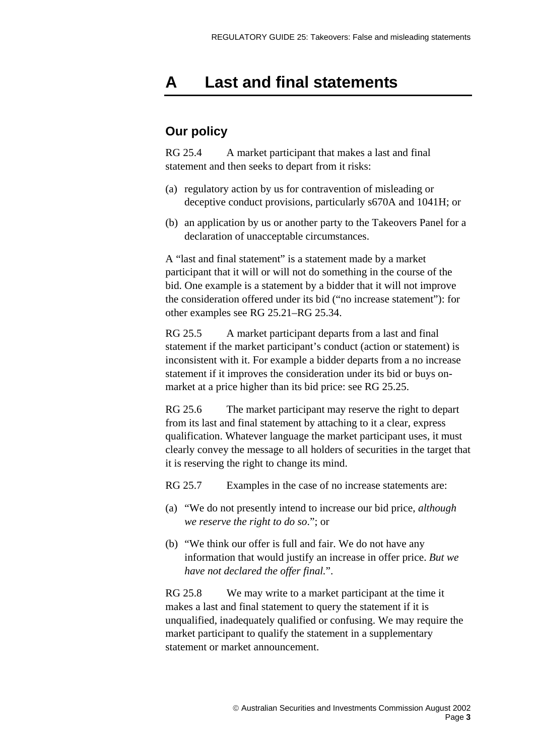## <span id="page-2-0"></span>**A Last and final statements**

## **Our policy**

RG 25.4 A market participant that makes a last and final statement and then seeks to depart from it risks:

- (a) regulatory action by us for contravention of misleading or deceptive conduct provisions, particularly s670A and 1041H; or
- (b) an application by us or another party to the Takeovers Panel for a declaration of unacceptable circumstances.

A "last and final statement" is a statement made by a market participant that it will or will not do something in the course of the bid. One example is a statement by a bidder that it will not improve the consideration offered under its bid ("no increase statement"): for other examples see RG 25.21–RG 25.34.

RG 25.5A market participant departs from a last and final statement if the market participant's conduct (action or statement) is inconsistent with it. For example a bidder departs from a no increase statement if it improves the consideration under its bid or buys onmarket at a price higher than its bid price: see RG 25.25.

RG 25.6 The market participant may reserve the right to depart from its last and final statement by attaching to it a clear, express qualification. Whatever language the market participant uses, it must clearly convey the message to all holders of securities in the target that it is reserving the right to change its mind.

RG 25.7 Examples in the case of no increase statements are:

- (a) "We do not presently intend to increase our bid price, *although we reserve the right to do so*."; or
- (b) "We think our offer is full and fair. We do not have any information that would justify an increase in offer price. *But we have not declared the offer final.*".

RG 25.8 We may write to a market participant at the time it makes a last and final statement to query the statement if it is unqualified, inadequately qualified or confusing. We may require the market participant to qualify the statement in a supplementary statement or market announcement.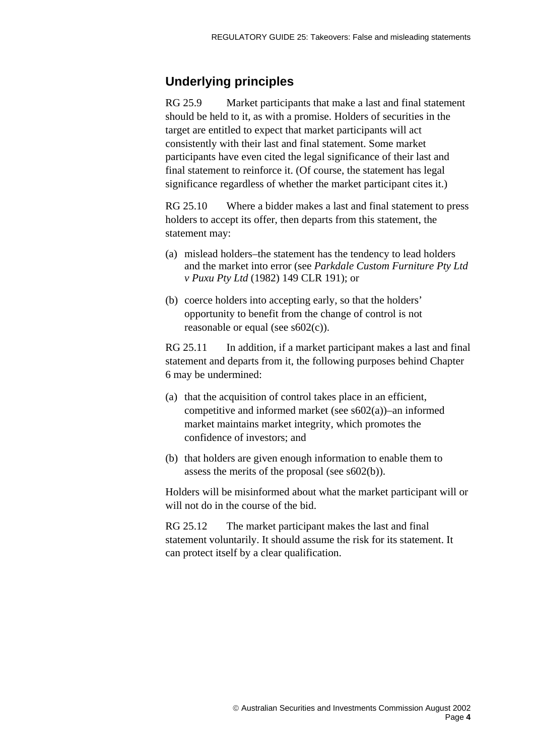## **Underlying principles**

RG 25.9Market participants that make a last and final statement should be held to it, as with a promise. Holders of securities in the target are entitled to expect that market participants will act consistently with their last and final statement. Some market participants have even cited the legal significance of their last and final statement to reinforce it. (Of course, the statement has legal significance regardless of whether the market participant cites it.)

RG 25.10 Where a bidder makes a last and final statement to press holders to accept its offer, then departs from this statement, the statement may:

- (a) mislead holders–the statement has the tendency to lead holders and the market into error (see *Parkdale Custom Furniture Pty Ltd v Puxu Pty Ltd* (1982) 149 CLR 191); or
- (b) coerce holders into accepting early, so that the holders' opportunity to benefit from the change of control is not reasonable or equal (see s602(c)).

RG 25.11 In addition, if a market participant makes a last and final statement and departs from it, the following purposes behind Chapter 6 may be undermined:

- (a) that the acquisition of control takes place in an efficient, competitive and informed market (see s602(a))–an informed market maintains market integrity, which promotes the confidence of investors; and
- (b) that holders are given enough information to enable them to assess the merits of the proposal (see s602(b)).

Holders will be misinformed about what the market participant will or will not do in the course of the bid.

RG 25.12 The market participant makes the last and final statement voluntarily. It should assume the risk for its statement. It can protect itself by a clear qualification.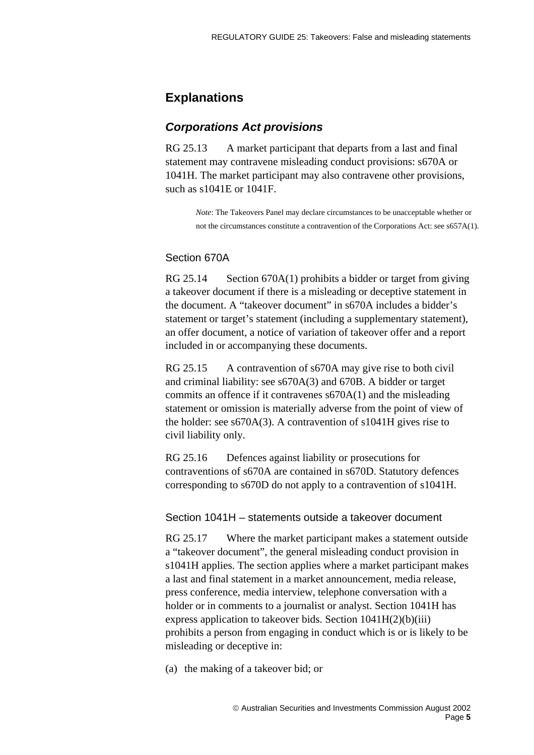## **Explanations**

### *Corporations Act provisions*

RG 25.13 A market participant that departs from a last and final statement may contravene misleading conduct provisions: s670A or 1041H. The market participant may also contravene other provisions, such as s1041E or 1041F.

> *Note*: The Takeovers Panel may declare circumstances to be unacceptable whether or not the circumstances constitute a contravention of the Corporations Act: see s657A(1).

### Section 670A

RG 25.14 Section 670A(1) prohibits a bidder or target from giving a takeover document if there is a misleading or deceptive statement in the document. A "takeover document" in s670A includes a bidder's statement or target's statement (including a supplementary statement), an offer document, a notice of variation of takeover offer and a report included in or accompanying these documents.

RG 25.15 A contravention of s670A may give rise to both civil and criminal liability: see s670A(3) and 670B. A bidder or target commits an offence if it contravenes s670A(1) and the misleading statement or omission is materially adverse from the point of view of the holder: see s670A(3). A contravention of s1041H gives rise to civil liability only.

RG 25.16 Defences against liability or prosecutions for contraventions of s670A are contained in s670D. Statutory defences corresponding to s670D do not apply to a contravention of s1041H.

### Section 1041H – statements outside a takeover document

RG 25.17 Where the market participant makes a statement outside a "takeover document", the general misleading conduct provision in s1041H applies. The section applies where a market participant makes a last and final statement in a market announcement, media release, press conference, media interview, telephone conversation with a holder or in comments to a journalist or analyst. Section 1041H has express application to takeover bids. Section 1041H(2)(b)(iii) prohibits a person from engaging in conduct which is or is likely to be misleading or deceptive in:

(a) the making of a takeover bid; or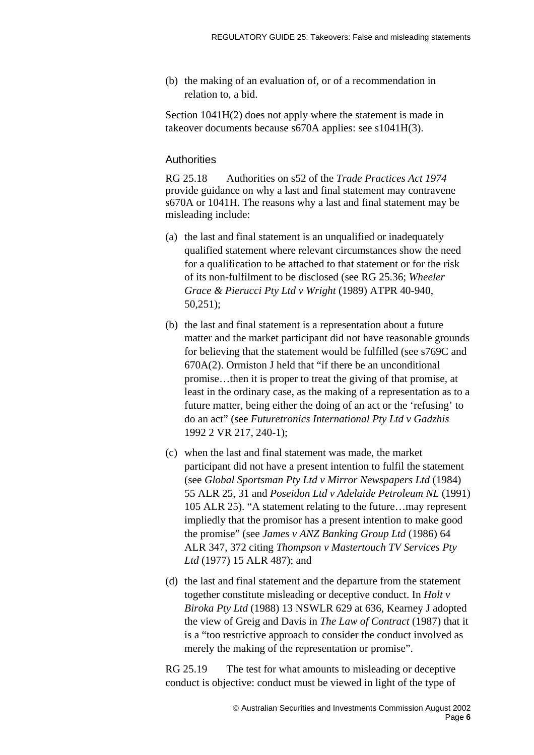(b) the making of an evaluation of, or of a recommendation in relation to, a bid.

Section 1041H(2) does not apply where the statement is made in takeover documents because s670A applies: see s1041H(3).

### **Authorities**

RG 25.18 Authorities on s52 of the *Trade Practices Act 1974* provide guidance on why a last and final statement may contravene s670A or 1041H. The reasons why a last and final statement may be misleading include:

- (a) the last and final statement is an unqualified or inadequately qualified statement where relevant circumstances show the need for a qualification to be attached to that statement or for the risk of its non-fulfilment to be disclosed (see RG 25.36; *Wheeler Grace & Pierucci Pty Ltd v Wright* (1989) ATPR 40-940, 50,251);
- (b) the last and final statement is a representation about a future matter and the market participant did not have reasonable grounds for believing that the statement would be fulfilled (see s769C and 670A(2). Ormiston J held that "if there be an unconditional promise…then it is proper to treat the giving of that promise, at least in the ordinary case, as the making of a representation as to a future matter, being either the doing of an act or the 'refusing' to do an act" (see *Futuretronics International Pty Ltd v Gadzhis* 1992 2 VR 217, 240-1);
- (c) when the last and final statement was made, the market participant did not have a present intention to fulfil the statement (see *Global Sportsman Pty Ltd v Mirror Newspapers Ltd* (1984) 55 ALR 25, 31 and *Poseidon Ltd v Adelaide Petroleum NL* (1991) 105 ALR 25). "A statement relating to the future…may represent impliedly that the promisor has a present intention to make good the promise" (see *James v ANZ Banking Group Ltd* (1986) 64 ALR 347, 372 citing *Thompson v Mastertouch TV Services Pty Ltd* (1977) 15 ALR 487); and
- (d) the last and final statement and the departure from the statement together constitute misleading or deceptive conduct. In *Holt v Biroka Pty Ltd* (1988) 13 NSWLR 629 at 636, Kearney J adopted the view of Greig and Davis in *The Law of Contract* (1987) that it is a "too restrictive approach to consider the conduct involved as merely the making of the representation or promise".

RG 25.19 The test for what amounts to misleading or deceptive conduct is objective: conduct must be viewed in light of the type of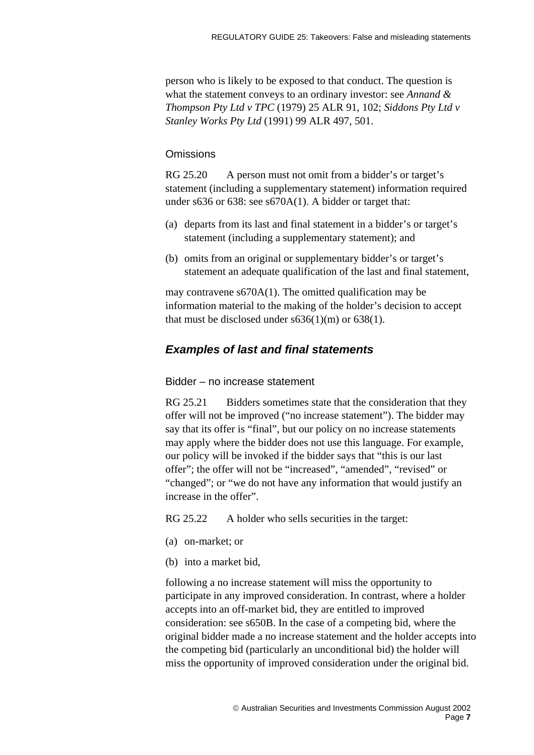person who is likely to be exposed to that conduct. The question is what the statement conveys to an ordinary investor: see *Annand & Thompson Pty Ltd v TPC* (1979) 25 ALR 91, 102; *Siddons Pty Ltd v Stanley Works Pty Ltd* (1991) 99 ALR 497, 501.

### **Omissions**

RG 25.20 A person must not omit from a bidder's or target's statement (including a supplementary statement) information required under s636 or 638: see s670A(1). A bidder or target that:

- (a) departs from its last and final statement in a bidder's or target's statement (including a supplementary statement); and
- (b) omits from an original or supplementary bidder's or target's statement an adequate qualification of the last and final statement,

may contravene s670A(1). The omitted qualification may be information material to the making of the holder's decision to accept that must be disclosed under  $s636(1)(m)$  or  $638(1)$ .

### *Examples of last and final statements*

#### Bidder – no increase statement

RG 25.21 Bidders sometimes state that the consideration that they offer will not be improved ("no increase statement"). The bidder may say that its offer is "final", but our policy on no increase statements may apply where the bidder does not use this language. For example, our policy will be invoked if the bidder says that "this is our last offer"; the offer will not be "increased", "amended", "revised" or "changed"; or "we do not have any information that would justify an increase in the offer".

RG 25.22 A holder who sells securities in the target:

- (a) on-market; or
- (b) into a market bid,

following a no increase statement will miss the opportunity to participate in any improved consideration. In contrast, where a holder accepts into an off-market bid, they are entitled to improved consideration: see s650B. In the case of a competing bid, where the original bidder made a no increase statement and the holder accepts into the competing bid (particularly an unconditional bid) the holder will miss the opportunity of improved consideration under the original bid.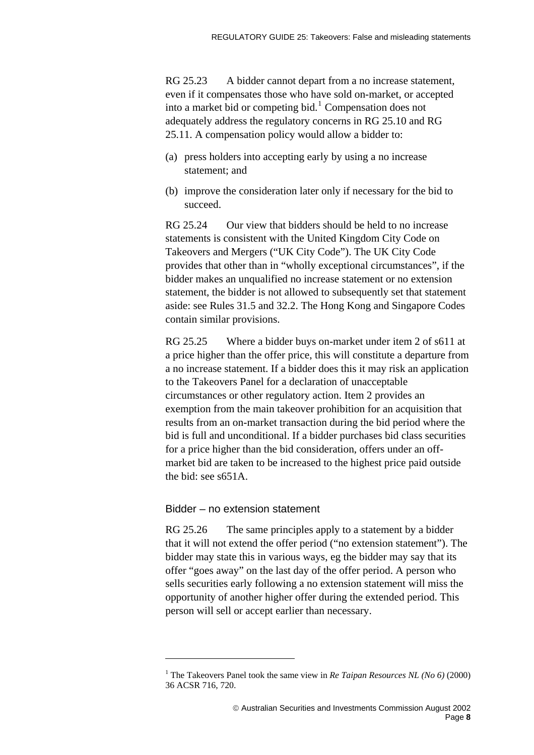RG 25.23 A bidder cannot depart from a no increase statement, even if it compensates those who have sold on-market, or accepted into a market bid or competing bid.<sup>[1](#page-7-0)</sup> Compensation does not adequately address the regulatory concerns in RG 25.10 and RG 25.11. A compensation policy would allow a bidder to:

- (a) press holders into accepting early by using a no increase statement; and
- (b) improve the consideration later only if necessary for the bid to succeed.

RG 25.24 Our view that bidders should be held to no increase statements is consistent with the United Kingdom City Code on Takeovers and Mergers ("UK City Code"). The UK City Code provides that other than in "wholly exceptional circumstances", if the bidder makes an unqualified no increase statement or no extension statement, the bidder is not allowed to subsequently set that statement aside: see Rules 31.5 and 32.2. The Hong Kong and Singapore Codes contain similar provisions.

RG 25.25 Where a bidder buys on-market under item 2 of s611 at a price higher than the offer price, this will constitute a departure from a no increase statement. If a bidder does this it may risk an application to the Takeovers Panel for a declaration of unacceptable circumstances or other regulatory action. Item 2 provides an exemption from the main takeover prohibition for an acquisition that results from an on-market transaction during the bid period where the bid is full and unconditional. If a bidder purchases bid class securities for a price higher than the bid consideration, offers under an offmarket bid are taken to be increased to the highest price paid outside the bid: see s651A.

#### Bidder – no extension statement

 $\overline{a}$ 

RG 25.26 The same principles apply to a statement by a bidder that it will not extend the offer period ("no extension statement"). The bidder may state this in various ways, eg the bidder may say that its offer "goes away" on the last day of the offer period. A person who sells securities early following a no extension statement will miss the opportunity of another higher offer during the extended period. This person will sell or accept earlier than necessary.

<span id="page-7-0"></span><sup>&</sup>lt;sup>1</sup> The Takeovers Panel took the same view in *Re Taipan Resources NL* (No 6) (2000) 36 ACSR 716, 720.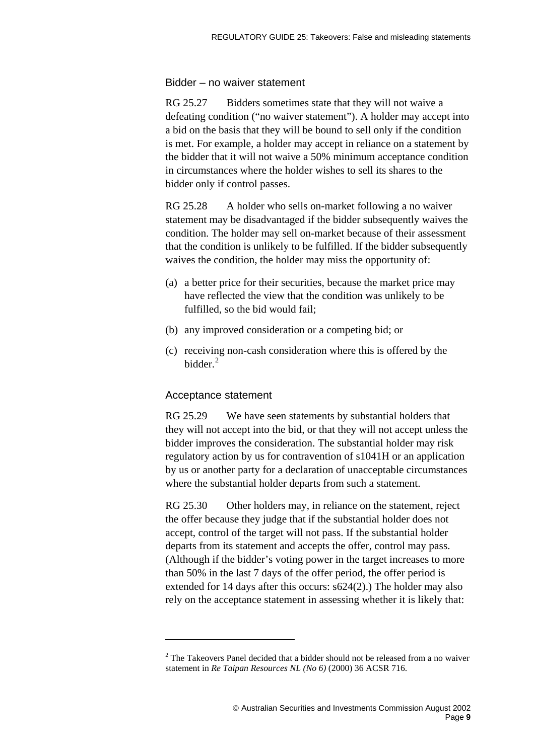### Bidder – no waiver statement

RG 25.27 Bidders sometimes state that they will not waive a defeating condition ("no waiver statement"). A holder may accept into a bid on the basis that they will be bound to sell only if the condition is met. For example, a holder may accept in reliance on a statement by the bidder that it will not waive a 50% minimum acceptance condition in circumstances where the holder wishes to sell its shares to the bidder only if control passes.

RG 25.28 A holder who sells on-market following a no waiver statement may be disadvantaged if the bidder subsequently waives the condition. The holder may sell on-market because of their assessment that the condition is unlikely to be fulfilled. If the bidder subsequently waives the condition, the holder may miss the opportunity of:

- (a) a better price for their securities, because the market price may have reflected the view that the condition was unlikely to be fulfilled, so the bid would fail;
- (b) any improved consideration or a competing bid; or
- (c) receiving non-cash consideration where this is offered by the bidder.<sup>[2](#page-8-0)</sup>

### Acceptance statement

 $\overline{a}$ 

RG 25.29 We have seen statements by substantial holders that they will not accept into the bid, or that they will not accept unless the bidder improves the consideration. The substantial holder may risk regulatory action by us for contravention of s1041H or an application by us or another party for a declaration of unacceptable circumstances where the substantial holder departs from such a statement.

RG 25.30 Other holders may, in reliance on the statement, reject the offer because they judge that if the substantial holder does not accept, control of the target will not pass. If the substantial holder departs from its statement and accepts the offer, control may pass. (Although if the bidder's voting power in the target increases to more than 50% in the last 7 days of the offer period, the offer period is extended for 14 days after this occurs: s624(2).) The holder may also rely on the acceptance statement in assessing whether it is likely that:

<span id="page-8-0"></span> $2$  The Takeovers Panel decided that a bidder should not be released from a no waiver statement in *Re Taipan Resources NL (No 6)* (2000) 36 ACSR 716.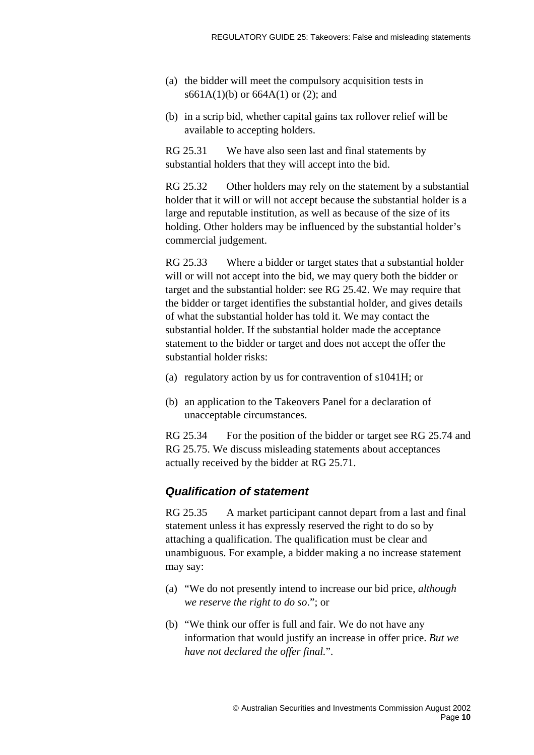- (a) the bidder will meet the compulsory acquisition tests in s661A(1)(b) or 664A(1) or (2); and
- (b) in a scrip bid, whether capital gains tax rollover relief will be available to accepting holders.

RG 25.31 We have also seen last and final statements by substantial holders that they will accept into the bid.

RG 25.32 Other holders may rely on the statement by a substantial holder that it will or will not accept because the substantial holder is a large and reputable institution, as well as because of the size of its holding. Other holders may be influenced by the substantial holder's commercial judgement.

RG 25.33 Where a bidder or target states that a substantial holder will or will not accept into the bid, we may query both the bidder or target and the substantial holder: see RG 25.42. We may require that the bidder or target identifies the substantial holder, and gives details of what the substantial holder has told it. We may contact the substantial holder. If the substantial holder made the acceptance statement to the bidder or target and does not accept the offer the substantial holder risks:

- (a) regulatory action by us for contravention of s1041H; or
- (b) an application to the Takeovers Panel for a declaration of unacceptable circumstances.

RG 25.34 For the position of the bidder or target see RG 25.74 and RG 25.75. We discuss misleading statements about acceptances actually received by the bidder at RG 25.71.

### *Qualification of statement*

RG 25.35 A market participant cannot depart from a last and final statement unless it has expressly reserved the right to do so by attaching a qualification. The qualification must be clear and unambiguous. For example, a bidder making a no increase statement may say:

- (a) "We do not presently intend to increase our bid price, *although we reserve the right to do so*."; or
- (b) "We think our offer is full and fair. We do not have any information that would justify an increase in offer price. *But we have not declared the offer final.*".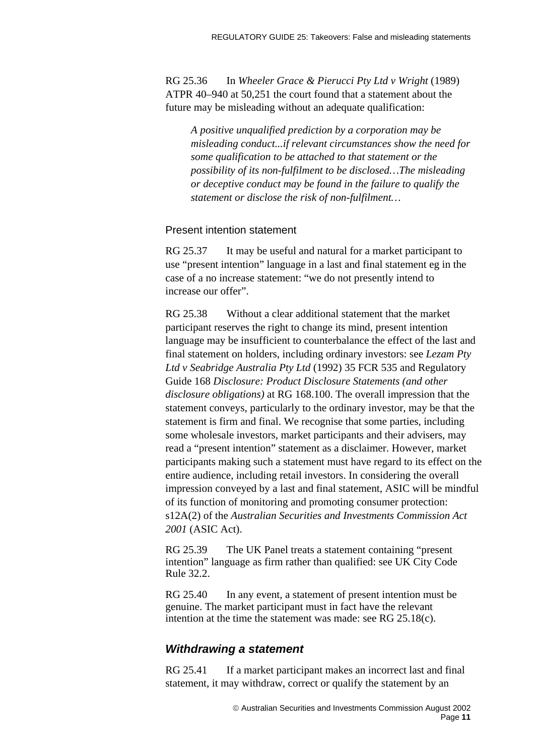RG 25.36 In *Wheeler Grace & Pierucci Pty Ltd v Wright* (1989) ATPR 40–940 at 50,251 the court found that a statement about the future may be misleading without an adequate qualification:

*A positive unqualified prediction by a corporation may be misleading conduct...if relevant circumstances show the need for some qualification to be attached to that statement or the possibility of its non-fulfilment to be disclosed…The misleading or deceptive conduct may be found in the failure to qualify the statement or disclose the risk of non-fulfilment…* 

### Present intention statement

RG 25.37 It may be useful and natural for a market participant to use "present intention" language in a last and final statement eg in the case of a no increase statement: "we do not presently intend to increase our offer".

RG 25.38 Without a clear additional statement that the market participant reserves the right to change its mind, present intention language may be insufficient to counterbalance the effect of the last and final statement on holders, including ordinary investors: see *Lezam Pty Ltd v Seabridge Australia Pty Ltd* (1992) 35 FCR 535 and Regulatory Guide 168 *Disclosure: Product Disclosure Statements (and other disclosure obligations)* at RG 168.100. The overall impression that the statement conveys, particularly to the ordinary investor, may be that the statement is firm and final. We recognise that some parties, including some wholesale investors, market participants and their advisers, may read a "present intention" statement as a disclaimer. However, market participants making such a statement must have regard to its effect on the entire audience, including retail investors. In considering the overall impression conveyed by a last and final statement, ASIC will be mindful of its function of monitoring and promoting consumer protection: s12A(2) of the *Australian Securities and Investments Commission Act 2001* (ASIC Act).

RG 25.39 The UK Panel treats a statement containing "present intention" language as firm rather than qualified: see UK City Code Rule 32.2.

RG 25.40 In any event, a statement of present intention must be genuine. The market participant must in fact have the relevant intention at the time the statement was made: see RG 25.18(c).

### *Withdrawing a statement*

RG 25.41 If a market participant makes an incorrect last and final statement, it may withdraw, correct or qualify the statement by an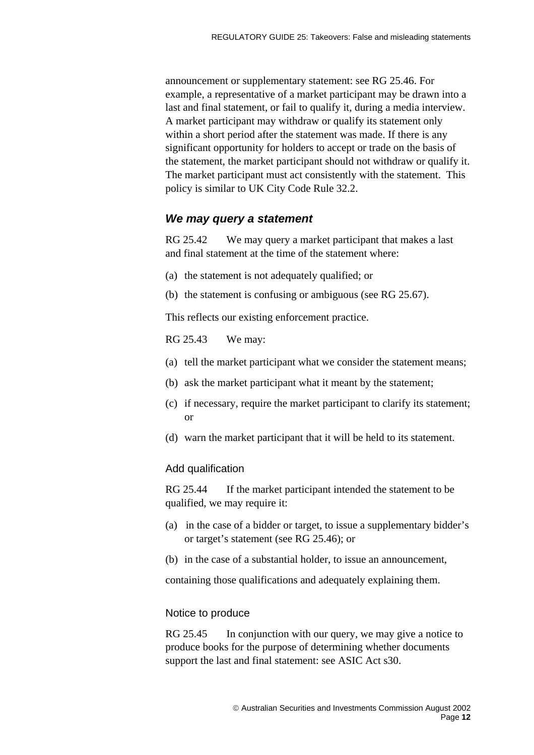announcement or supplementary statement: see RG 25.46. For example, a representative of a market participant may be drawn into a last and final statement, or fail to qualify it, during a media interview. A market participant may withdraw or qualify its statement only within a short period after the statement was made. If there is any significant opportunity for holders to accept or trade on the basis of the statement, the market participant should not withdraw or qualify it. The market participant must act consistently with the statement. This policy is similar to UK City Code Rule 32.2.

### *We may query a statement*

RG 25.42 We may query a market participant that makes a last and final statement at the time of the statement where:

- (a) the statement is not adequately qualified; or
- (b) the statement is confusing or ambiguous (see RG 25.67).

This reflects our existing enforcement practice.

RG 25.43 We may:

- (a) tell the market participant what we consider the statement means;
- (b) ask the market participant what it meant by the statement;
- (c) if necessary, require the market participant to clarify its statement; or
- (d) warn the market participant that it will be held to its statement.

### Add qualification

RG 25.44 If the market participant intended the statement to be qualified, we may require it:

- (a) in the case of a bidder or target, to issue a supplementary bidder's or target's statement (see RG 25.46); or
- (b) in the case of a substantial holder, to issue an announcement,

containing those qualifications and adequately explaining them.

### Notice to produce

RG 25.45 In conjunction with our query, we may give a notice to produce books for the purpose of determining whether documents support the last and final statement: see ASIC Act s30.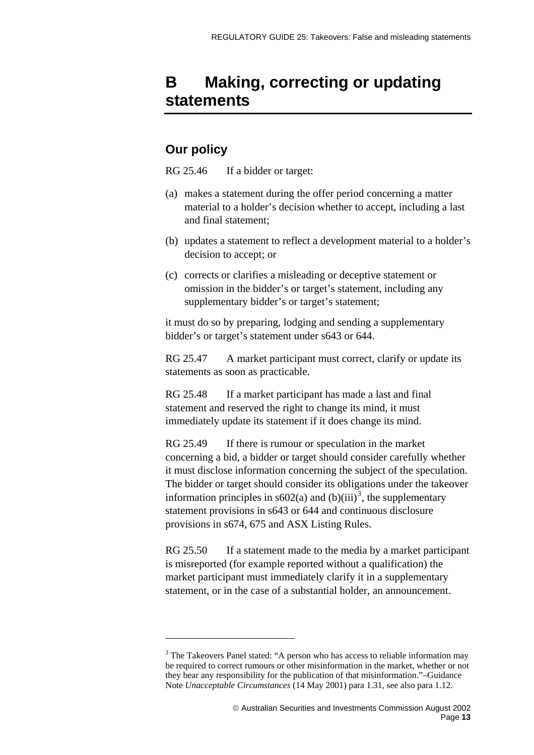## <span id="page-12-0"></span>**B Making, correcting or updating statements**

## **Our policy**

 $\overline{a}$ 

RG 25.46 If a bidder or target:

- (a) makes a statement during the offer period concerning a matter material to a holder's decision whether to accept, including a last and final statement;
- (b) updates a statement to reflect a development material to a holder's decision to accept; or
- (c) corrects or clarifies a misleading or deceptive statement or omission in the bidder's or target's statement, including any supplementary bidder's or target's statement;

it must do so by preparing, lodging and sending a supplementary bidder's or target's statement under s643 or 644.

RG 25.47 A market participant must correct, clarify or update its statements as soon as practicable.

RG 25.48 If a market participant has made a last and final statement and reserved the right to change its mind, it must immediately update its statement if it does change its mind.

RG 25.49 If there is rumour or speculation in the market concerning a bid, a bidder or target should consider carefully whether it must disclose information concerning the subject of the speculation. The bidder or target should consider its obligations under the takeover information principles in  $s602(a)$  and  $(b)(iii)^3$  $(b)(iii)^3$ , the supplementary statement provisions in s643 or 644 and continuous disclosure provisions in s674, 675 and ASX Listing Rules.

RG 25.50 If a statement made to the media by a market participant is misreported (for example reported without a qualification) the market participant must immediately clarify it in a supplementary statement, or in the case of a substantial holder, an announcement.

<span id="page-12-1"></span><sup>&</sup>lt;sup>3</sup> The Takeovers Panel stated: "A person who has access to reliable information may be required to correct rumours or other misinformation in the market, whether or not they bear any responsibility for the publication of that misinformation."–Guidance Note *Unacceptable Circumstances* (14 May 2001) para 1.31, see also para 1.12.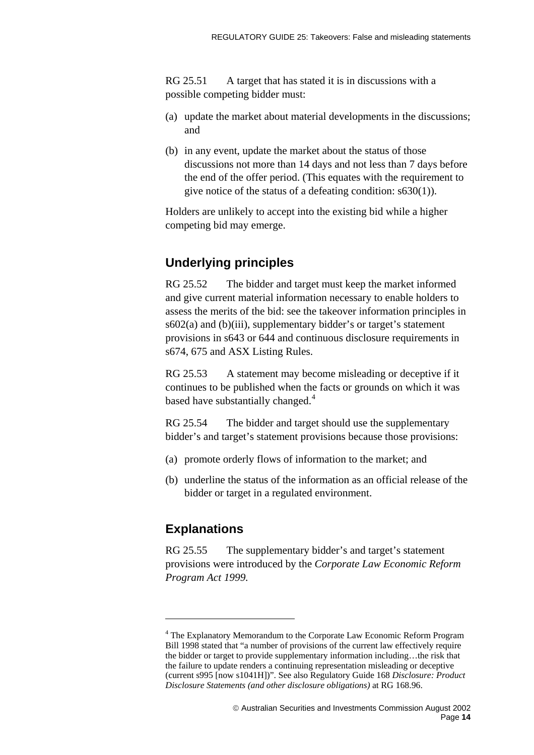RG 25.51 A target that has stated it is in discussions with a possible competing bidder must:

- (a) update the market about material developments in the discussions; and
- (b) in any event, update the market about the status of those discussions not more than 14 days and not less than 7 days before the end of the offer period. (This equates with the requirement to give notice of the status of a defeating condition: s630(1)).

Holders are unlikely to accept into the existing bid while a higher competing bid may emerge.

## **Underlying principles**

RG 25.52 The bidder and target must keep the market informed and give current material information necessary to enable holders to assess the merits of the bid: see the takeover information principles in s602(a) and (b)(iii), supplementary bidder's or target's statement provisions in s643 or 644 and continuous disclosure requirements in s674, 675 and ASX Listing Rules.

RG 25.53 A statement may become misleading or deceptive if it continues to be published when the facts or grounds on which it was based have substantially changed.<sup>[4](#page-13-0)</sup>

RG 25.54 The bidder and target should use the supplementary bidder's and target's statement provisions because those provisions:

- (a) promote orderly flows of information to the market; and
- (b) underline the status of the information as an official release of the bidder or target in a regulated environment.

## **Explanations**

 $\overline{a}$ 

RG 25.55 The supplementary bidder's and target's statement provisions were introduced by the *Corporate Law Economic Reform Program Act 1999.*

<span id="page-13-0"></span><sup>&</sup>lt;sup>4</sup> The Explanatory Memorandum to the Corporate Law Economic Reform Program Bill 1998 stated that "a number of provisions of the current law effectively require the bidder or target to provide supplementary information including…the risk that the failure to update renders a continuing representation misleading or deceptive (current s995 [now s1041H])". See also Regulatory Guide 168 *Disclosure: Product Disclosure Statements (and other disclosure obligations)* at RG 168.96.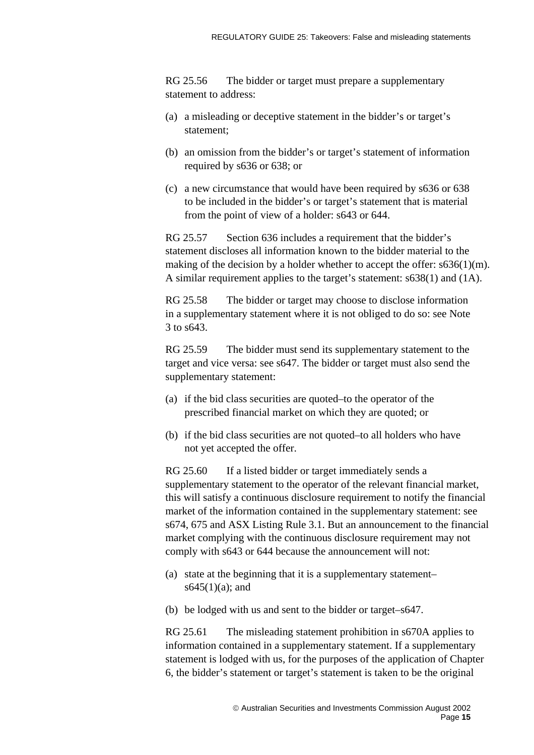RG 25.56 The bidder or target must prepare a supplementary statement to address:

- (a) a misleading or deceptive statement in the bidder's or target's statement;
- (b) an omission from the bidder's or target's statement of information required by s636 or 638; or
- (c) a new circumstance that would have been required by s636 or 638 to be included in the bidder's or target's statement that is material from the point of view of a holder: s643 or 644.

RG 25.57 Section 636 includes a requirement that the bidder's statement discloses all information known to the bidder material to the making of the decision by a holder whether to accept the offer:  $s636(1)(m)$ . A similar requirement applies to the target's statement: s638(1) and (1A).

RG 25.58 The bidder or target may choose to disclose information in a supplementary statement where it is not obliged to do so: see Note 3 to s643.

RG 25.59 The bidder must send its supplementary statement to the target and vice versa: see s647. The bidder or target must also send the supplementary statement:

- (a) if the bid class securities are quoted–to the operator of the prescribed financial market on which they are quoted; or
- (b) if the bid class securities are not quoted–to all holders who have not yet accepted the offer.

RG 25.60 If a listed bidder or target immediately sends a supplementary statement to the operator of the relevant financial market, this will satisfy a continuous disclosure requirement to notify the financial market of the information contained in the supplementary statement: see s674, 675 and ASX Listing Rule 3.1. But an announcement to the financial market complying with the continuous disclosure requirement may not comply with s643 or 644 because the announcement will not:

- (a) state at the beginning that it is a supplementary statement–  $s645(1)(a)$ ; and
- (b) be lodged with us and sent to the bidder or target–s647.

RG 25.61 The misleading statement prohibition in s670A applies to information contained in a supplementary statement. If a supplementary statement is lodged with us, for the purposes of the application of Chapter 6, the bidder's statement or target's statement is taken to be the original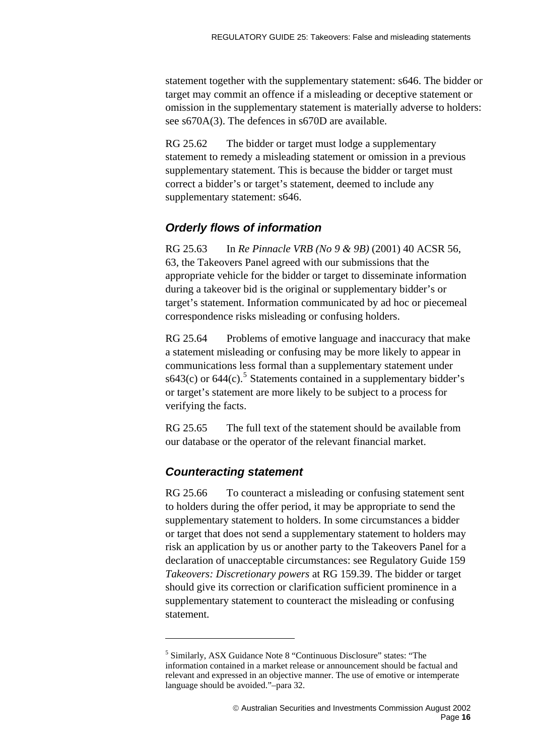statement together with the supplementary statement: s646. The bidder or target may commit an offence if a misleading or deceptive statement or omission in the supplementary statement is materially adverse to holders: see s670A(3). The defences in s670D are available.

RG 25.62 The bidder or target must lodge a supplementary statement to remedy a misleading statement or omission in a previous supplementary statement. This is because the bidder or target must correct a bidder's or target's statement, deemed to include any supplementary statement: s646.

### *Orderly flows of information*

RG 25.63 In *Re Pinnacle VRB (No 9 & 9B)* (2001) 40 ACSR 56, 63, the Takeovers Panel agreed with our submissions that the appropriate vehicle for the bidder or target to disseminate information during a takeover bid is the original or supplementary bidder's or target's statement. Information communicated by ad hoc or piecemeal correspondence risks misleading or confusing holders.

RG 25.64 Problems of emotive language and inaccuracy that make a statement misleading or confusing may be more likely to appear in communications less formal than a supplementary statement under s643(c) or  $644(c)$ .<sup>[5](#page-15-0)</sup> Statements contained in a supplementary bidder's or target's statement are more likely to be subject to a process for verifying the facts.

RG 25.65 The full text of the statement should be available from our database or the operator of the relevant financial market.

## *Counteracting statement*

 $\overline{a}$ 

RG 25.66 To counteract a misleading or confusing statement sent to holders during the offer period, it may be appropriate to send the supplementary statement to holders. In some circumstances a bidder or target that does not send a supplementary statement to holders may risk an application by us or another party to the Takeovers Panel for a declaration of unacceptable circumstances: see Regulatory Guide 159 *Takeovers: Discretionary powers* at RG 159.39. The bidder or target should give its correction or clarification sufficient prominence in a supplementary statement to counteract the misleading or confusing statement.

<span id="page-15-0"></span><sup>5</sup> Similarly, ASX Guidance Note 8 "Continuous Disclosure" states: "The information contained in a market release or announcement should be factual and relevant and expressed in an objective manner. The use of emotive or intemperate language should be avoided."–para 32.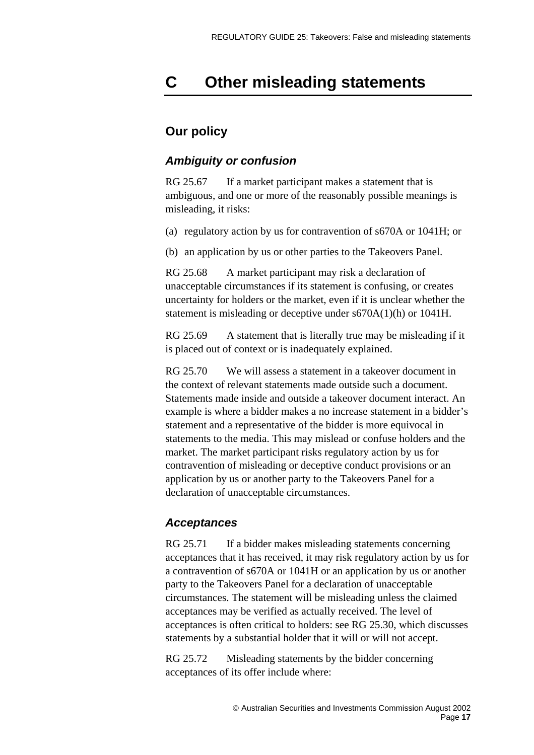## <span id="page-16-0"></span>**C Other misleading statements**

## **Our policy**

### *Ambiguity or confusion*

RG 25.67 If a market participant makes a statement that is ambiguous, and one or more of the reasonably possible meanings is misleading, it risks:

(a) regulatory action by us for contravention of s670A or 1041H; or

(b) an application by us or other parties to the Takeovers Panel.

RG 25.68 A market participant may risk a declaration of unacceptable circumstances if its statement is confusing, or creates uncertainty for holders or the market, even if it is unclear whether the statement is misleading or deceptive under s670A(1)(h) or 1041H.

RG 25.69 A statement that is literally true may be misleading if it is placed out of context or is inadequately explained.

RG 25.70 We will assess a statement in a takeover document in the context of relevant statements made outside such a document. Statements made inside and outside a takeover document interact. An example is where a bidder makes a no increase statement in a bidder's statement and a representative of the bidder is more equivocal in statements to the media. This may mislead or confuse holders and the market. The market participant risks regulatory action by us for contravention of misleading or deceptive conduct provisions or an application by us or another party to the Takeovers Panel for a declaration of unacceptable circumstances.

## *Acceptances*

RG 25.71 If a bidder makes misleading statements concerning acceptances that it has received, it may risk regulatory action by us for a contravention of s670A or 1041H or an application by us or another party to the Takeovers Panel for a declaration of unacceptable circumstances. The statement will be misleading unless the claimed acceptances may be verified as actually received. The level of acceptances is often critical to holders: see RG 25.30, which discusses statements by a substantial holder that it will or will not accept.

RG 25.72 Misleading statements by the bidder concerning acceptances of its offer include where: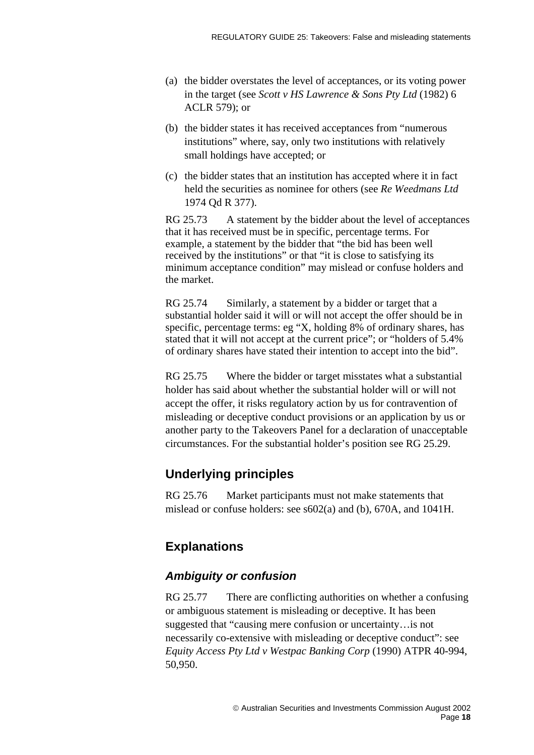- (a) the bidder overstates the level of acceptances, or its voting power in the target (see *Scott v HS Lawrence & Sons Pty Ltd* (1982) 6 ACLR 579); or
- (b) the bidder states it has received acceptances from "numerous institutions" where, say, only two institutions with relatively small holdings have accepted; or
- (c) the bidder states that an institution has accepted where it in fact held the securities as nominee for others (see *Re Weedmans Ltd*  1974 Qd R 377).

RG 25.73 A statement by the bidder about the level of acceptances that it has received must be in specific, percentage terms. For example, a statement by the bidder that "the bid has been well received by the institutions" or that "it is close to satisfying its minimum acceptance condition" may mislead or confuse holders and the market.

RG 25.74 Similarly, a statement by a bidder or target that a substantial holder said it will or will not accept the offer should be in specific, percentage terms: eg "X, holding 8% of ordinary shares, has stated that it will not accept at the current price"; or "holders of 5.4% of ordinary shares have stated their intention to accept into the bid".

RG 25.75 Where the bidder or target misstates what a substantial holder has said about whether the substantial holder will or will not accept the offer, it risks regulatory action by us for contravention of misleading or deceptive conduct provisions or an application by us or another party to the Takeovers Panel for a declaration of unacceptable circumstances. For the substantial holder's position see RG 25.29.

## **Underlying principles**

RG 25.76 Market participants must not make statements that mislead or confuse holders: see s602(a) and (b), 670A, and 1041H.

## **Explanations**

## *Ambiguity or confusion*

RG 25.77 There are conflicting authorities on whether a confusing or ambiguous statement is misleading or deceptive. It has been suggested that "causing mere confusion or uncertainty…is not necessarily co-extensive with misleading or deceptive conduct": see *Equity Access Pty Ltd v Westpac Banking Corp* (1990) ATPR 40-994, 50,950.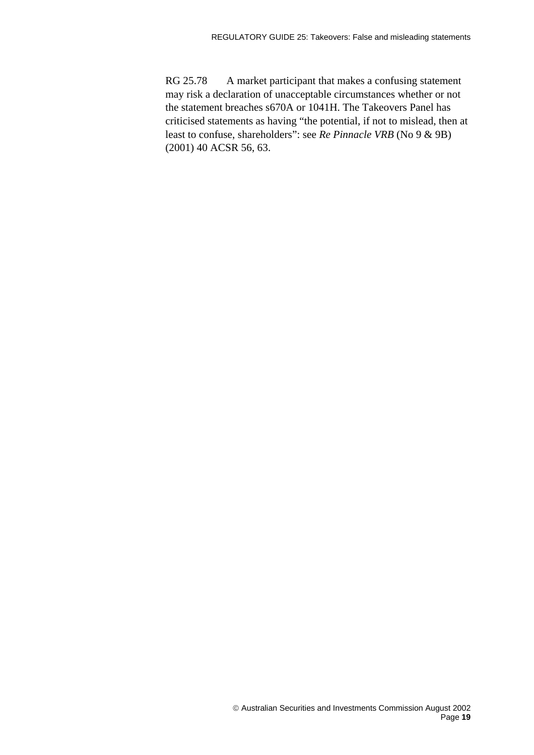RG 25.78 A market participant that makes a confusing statement may risk a declaration of unacceptable circumstances whether or not the statement breaches s670A or 1041H. The Takeovers Panel has criticised statements as having "the potential, if not to mislead, then at least to confuse, shareholders": see *Re Pinnacle VRB* (No 9 & 9B) (2001) 40 ACSR 56, 63.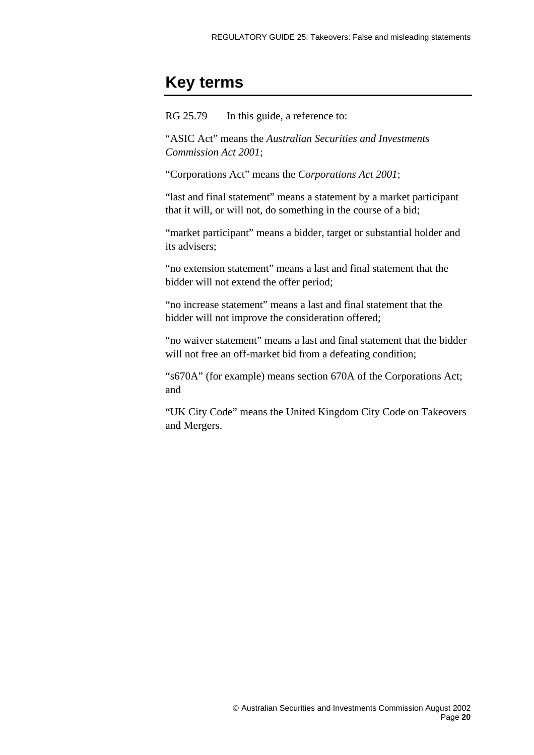## <span id="page-19-0"></span>**Key terms**

RG 25.79 In this guide, a reference to:

"ASIC Act" means the *Australian Securities and Investments Commission Act 2001*;

"Corporations Act" means the *Corporations Act 2001*;

"last and final statement" means a statement by a market participant that it will, or will not, do something in the course of a bid;

"market participant" means a bidder, target or substantial holder and its advisers;

"no extension statement" means a last and final statement that the bidder will not extend the offer period;

"no increase statement" means a last and final statement that the bidder will not improve the consideration offered;

"no waiver statement" means a last and final statement that the bidder will not free an off-market bid from a defeating condition;

"s670A" (for example) means section 670A of the Corporations Act; and

"UK City Code" means the United Kingdom City Code on Takeovers and Mergers.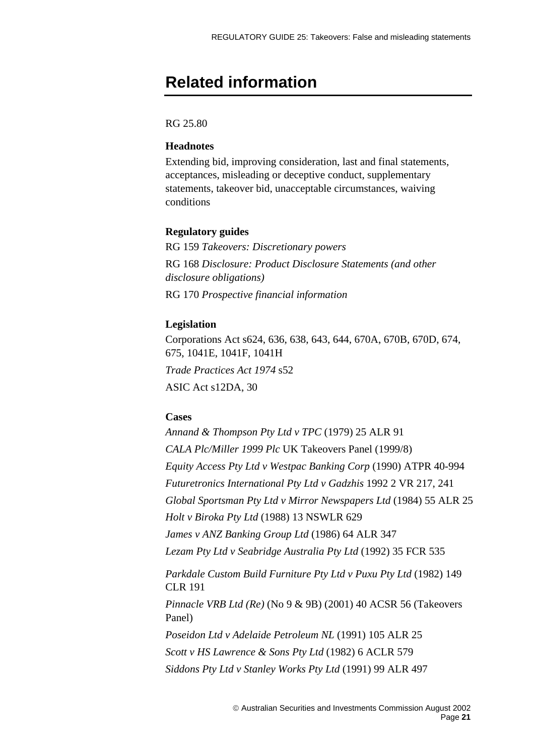## <span id="page-20-0"></span>**Related information**

### RG 25.80

### **Headnotes**

Extending bid, improving consideration, last and final statements, acceptances, misleading or deceptive conduct, supplementary statements, takeover bid, unacceptable circumstances, waiving conditions

### **Regulatory guides**

RG 159 *Takeovers: Discretionary powers*  RG 168 *Disclosure: Product Disclosure Statements (and other disclosure obligations)* RG 170 *Prospective financial information*

#### **Legislation**

Corporations Act s624, 636, 638, 643, 644, 670A, 670B, 670D, 674, 675, 1041E, 1041F, 1041H *Trade Practices Act 1974* s52 ASIC Act s12DA, 30

#### **Cases**

*Annand & Thompson Pty Ltd v TPC* (1979) 25 ALR 91 *CALA Plc/Miller 1999 Plc* UK Takeovers Panel (1999/8) *Equity Access Pty Ltd v Westpac Banking Corp* (1990) ATPR 40-994 *Futuretronics International Pty Ltd v Gadzhis* 1992 2 VR 217, 241 *Global Sportsman Pty Ltd v Mirror Newspapers Ltd* (1984) 55 ALR 25 *Holt v Biroka Pty Ltd* (1988) 13 NSWLR 629 *James v ANZ Banking Group Ltd* (1986) 64 ALR 347 *Lezam Pty Ltd v Seabridge Australia Pty Ltd* (1992) 35 FCR 535 *Parkdale Custom Build Furniture Pty Ltd v Puxu Pty Ltd* (1982) 149 CLR 191 *Pinnacle VRB Ltd (Re)* (No 9 & 9B) (2001) 40 ACSR 56 (Takeovers Panel)

*Poseidon Ltd v Adelaide Petroleum NL* (1991) 105 ALR 25 *Scott v HS Lawrence & Sons Pty Ltd* (1982) 6 ACLR 579 *Siddons Pty Ltd v Stanley Works Pty Ltd* (1991) 99 ALR 497